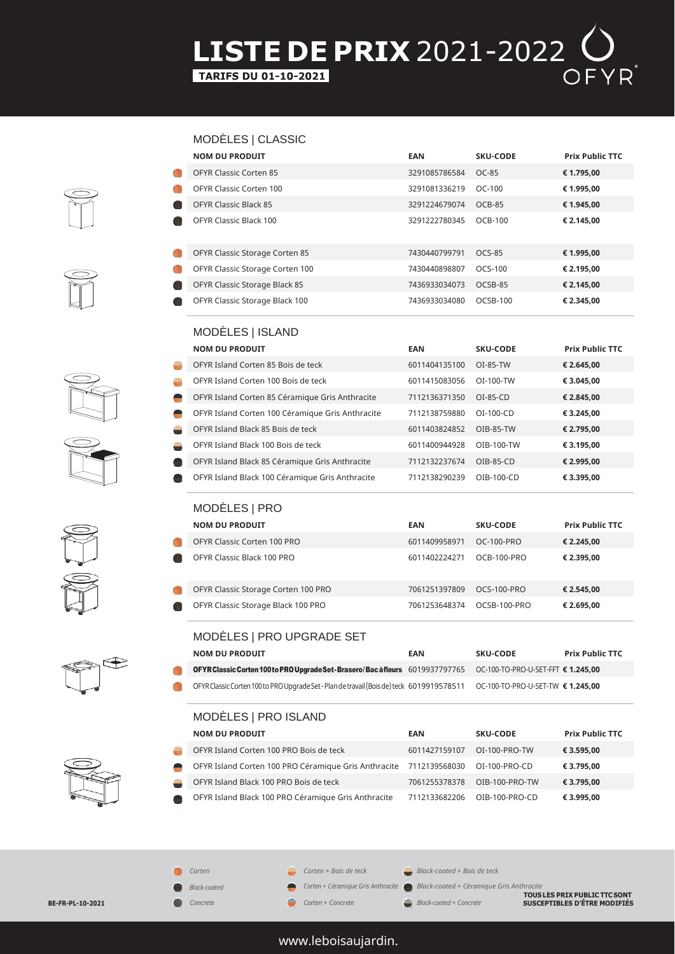# **LISTE DE PRIX** 2021-2022  $\bigcirc$ <br> **EARIFS DU 01-10-2021**













| <b>NOM DU PRODUIT</b>                            | <b>EAN</b>    | <b>SKU-CODE</b>    | <b>Prix Public TTC</b> |
|--------------------------------------------------|---------------|--------------------|------------------------|
| OFYR Classic Corten 85                           | 3291085786584 | <b>OC-85</b>       | € 1.795,00             |
| <b>OFYR Classic Corten 100</b>                   | 3291081336219 | OC-100             | € 1.995,00             |
| <b>OFYR Classic Black 85</b>                     | 3291224679074 | OCB-85             | € 1.945,00             |
| <b>OFYR Classic Black 100</b>                    | 3291222780345 | <b>OCB-100</b>     | € 2.145,00             |
| OFYR Classic Storage Corten 85                   | 7430440799791 | <b>OCS-85</b>      | € 1.995,00             |
| OFYR Classic Storage Corten 100                  | 7430440898807 | OCS-100            | € 2.195,00             |
| OFYR Classic Storage Black 85                    | 7436933034073 | OCSB-85            | € 2.145,00             |
| OFYR Classic Storage Black 100                   | 7436933034080 | OCSB-100           | € 2.345,00             |
| MODÈLES   ISLAND                                 |               |                    |                        |
| <b>NOM DU PRODUIT</b>                            | EAN           | <b>SKU-CODE</b>    | <b>Prix Public TTC</b> |
| OFYR Island Corten 85 Bois de teck               | 6011404135100 | OI-85-TW           | € 2.645,00             |
| OFYR Island Corten 100 Bois de teck              | 6011415083056 | OI-100-TW          | € 3.045,00             |
| OFYR Island Corten 85 Céramique Gris Anthracite  | 7112136371350 | OI-85-CD           | € 2.845,00             |
| OFYR Island Corten 100 Céramique Gris Anthracite | 7112138759880 | OI-100-CD          | € 3.245,00             |
| OFYR Island Black 85 Bois de teck                | 6011403824852 | OIB-85-TW          | € 2.795,00             |
| OFYR Island Black 100 Bois de teck               | 6011400944928 | OIB-100-TW         | € 3.195,00             |
| OFYR Island Black 85 Céramique Gris Anthracite   | 7112132237674 | OIB-85-CD          | € 2.995,00             |
| OFYR Island Black 100 Céramique Gris Anthracite  | 7112138290239 | OIB-100-CD         | € 3.395,00             |
| MODÈLES   PRO                                    |               |                    |                        |
| <b>NOM DU PRODUIT</b>                            | <b>EAN</b>    | <b>SKU-CODE</b>    | <b>Prix Public TTC</b> |
| OFYR Classic Corten 100 PRO                      | 6011409958971 | <b>OC-100-PRO</b>  | € 2.245,00             |
| OFYR Classic Black 100 PRO                       | 6011402224271 | OCB-100-PRO        | € 2.395,00             |
| OFYR Classic Storage Corten 100 PRO              | 7061251397809 | <b>OCS-100-PRO</b> | € 2.545,00             |
| OFYR Classic Storage Black 100 PRO               | 7061253648374 | OCSB-100-PRO       | € 2.695,00             |

| MODELES   PRO UPGRADE SET |  |
|---------------------------|--|
|                           |  |

| <b>NOM DU PRODUIT</b>                                                                                                       | EAN | <b>SKU-CODE</b> | <b>Prix Public TTC</b> |
|-----------------------------------------------------------------------------------------------------------------------------|-----|-----------------|------------------------|
| OFYRClassic Corten 100 to PRO Upgrade Set-Brasero/Bac à fleurs 6019937797765 OC-100-TO-PRO-U-SET-FFT € 1.245,00             |     |                 |                        |
| OFYR Classic Corten 100 to PRO Upgrade Set - Plan de travail (Bois de) teck 6019919578511 OC-100-TO-PRO-U-SET-TW € 1.245,00 |     |                 |                        |

## MODÈLES | PRO ISLAND

*Corten Black-coated Concrete*

 $\bullet$ 

|                | <b>NOM DU PRODUIT</b>                                              | EAN           | <b>SKU-CODE</b> | <b>Prix Public TTC</b> |
|----------------|--------------------------------------------------------------------|---------------|-----------------|------------------------|
| $\rightarrow$  | OFYR Island Corten 100 PRO Bois de teck                            | 6011427159107 | OI-100-PRO-TW   | € 3.595,00             |
| $\blacksquare$ | OFYR Island Corten 100 PRO Céramique Gris Anthracite 7112139568030 |               | OI-100-PRO-CD   | € 3.795.00             |
| ۰              | OFYR Island Black 100 PRO Bois de teck                             | 7061255378378 | OIB-100-PRO-TW  | € 3.795,00             |
| $\bullet$      | OFYR Island Black 100 PRO Céramique Gris Anthracite                | 7112133682206 | OIB-100-PRO-CD  | € 3.995.00             |

*Corten + Bois de teck Corten + Céramique Gris Anthracite Black-coated + Bois de teck* **Black-coated ● Black-coated ● Black-coated ● Corten + Céramique Gris Anthracite ● Black-coated + Céramique Gris Anthracite<br>
<b>BE-FR-PL-10-2021 BUSCEPTIBLES D'ÊTRE MODIFIÉS** 

*Corten + Concrete*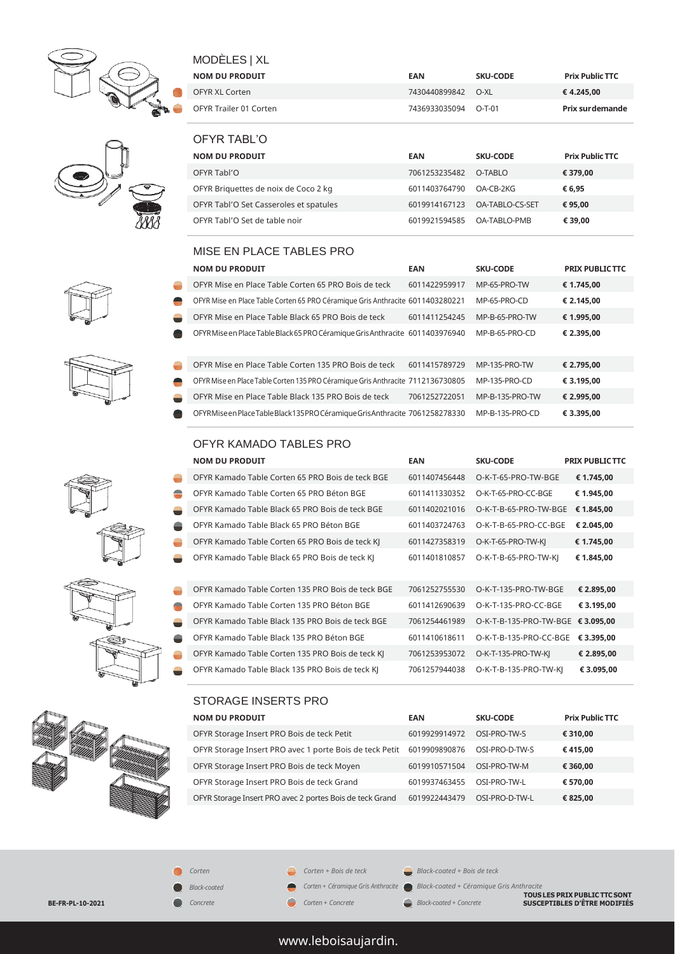











## MODÈLES | XL

| <b>NOM DU PRODUIT</b>  | EAN           | <b>SKU-CODE</b> | <b>Prix Public TTC</b> |
|------------------------|---------------|-----------------|------------------------|
| OFYR XL Corten         | 7430440899842 | O-XI            | € 4.245.00             |
| OFYR Trailer 01 Corten | 7436933035094 | ∩-T-01          | Prix surdemande        |

| OFYR TABL'O                            |               |                        |                        |
|----------------------------------------|---------------|------------------------|------------------------|
| <b>NOM DU PRODUIT</b>                  | EAN           | <b>SKU-CODE</b>        | <b>Prix Public TTC</b> |
| OFYR Tabl'O                            | 7061253235482 | O-TABLO                | € 379.00               |
| OFYR Briguettes de noix de Coco 2 kg   | 6011403764790 | OA-CB-2KG              | € 6.95                 |
| OFYR Tabl'O Set Casseroles et spatules | 6019914167123 | <b>OA-TABLO-CS-SET</b> | € 95.00                |
| OFYR Tabl'O Set de table noir          | 6019921594585 | <b>OA-TABLO-PMB</b>    | € 39.00                |

#### MISE EN PLACE TABLES PRO

| <b>NOM DU PRODUIT</b>                                                           | <b>EAN</b>    | <b>SKU-CODE</b> | <b>PRIX PUBLIC TTC</b> |
|---------------------------------------------------------------------------------|---------------|-----------------|------------------------|
| OFYR Mise en Place Table Corten 65 PRO Bois de teck                             | 6011422959917 | MP-65-PRO-TW    | € 1.745,00             |
| OFYR Mise en Place Table Corten 65 PRO Céramique Gris Anthracite 6011403280221  |               | MP-65-PRO-CD    | € 2.145,00             |
| OFYR Mise en Place Table Black 65 PRO Bois de teck                              | 6011411254245 | MP-B-65-PRO-TW  | € 1.995,00             |
| OFYRMise en Place Table Black 65 PRO Céramique Gris Anthracite 6011403976940    |               | MP-B-65-PRO-CD  | € 2.395.00             |
| OFYR Mise en Place Table Corten 135 PRO Bois de teck                            | 6011415789729 | MP-135-PRO-TW   | € 2.795.00             |
| OFYR Mise en Place Table Corten 135 PRO Céramique Gris Anthracite 7112136730805 |               | MP-135-PRO-CD   | € 3.195.00             |
| OFYR Mise en Place Table Black 135 PRO Bois de teck                             | 7061252722051 | MP-B-135-PRO-TW | € 2.995,00             |
| OFYRMiseen Place Table Black 135 PRO Céramique Gris Anthracite 7061258278330    |               | MP-B-135-PRO-CD | € 3.395.00             |

#### OFYR KAMADO TABLES PRO

|   | <b>NOM DU PRODUIT</b>                             | <b>EAN</b>    | <b>SKU-CODE</b>        | <b>PRIX PUBLIC TTC</b> |
|---|---------------------------------------------------|---------------|------------------------|------------------------|
| ÷ | OFYR Kamado Table Corten 65 PRO Bois de teck BGE  | 6011407456448 | O-K-T-65-PRO-TW-BGE    | € 1.745,00             |
| ÷ | OFYR Kamado Table Corten 65 PRO Béton BGE         | 6011411330352 | O-K-T-65-PRO-CC-BGE    | € 1.945,00             |
| - | OFYR Kamado Table Black 65 PRO Bois de teck BGE   | 6011402021016 | O-K-T-B-65-PRO-TW-BGE  | € 1.845,00             |
| - | OFYR Kamado Table Black 65 PRO Béton BGE          | 6011403724763 | O-K-T-B-65-PRO-CC-BGE  | € 2.045.00             |
| ٣ | OFYR Kamado Table Corten 65 PRO Bois de teck KJ   | 6011427358319 | O-K-T-65-PRO-TW-KI     | € 1.745,00             |
| - | OFYR Kamado Table Black 65 PRO Bois de teck KJ    | 6011401810857 | O-K-T-B-65-PRO-TW-KI   | € 1.845,00             |
| ٥ | OFYR Kamado Table Corten 135 PRO Bois de teck BGE | 7061252755530 | O-K-T-135-PRO-TW-BGE   | € 2.895,00             |
| ÷ | OFYR Kamado Table Corten 135 PRO Béton BGE        | 6011412690639 | O-K-T-135-PRO-CC-BGE   | € 3.195.00             |
| - | OFYR Kamado Table Black 135 PRO Bois de teck BGE  | 7061254461989 | O-K-T-B-135-PRO-TW-BGE | € 3.095.00             |
| - | OFYR Kamado Table Black 135 PRO Béton BGE         | 6011410618611 | O-K-T-B-135-PRO-CC-BGE | € 3.395.00             |
| ٥ | OFYR Kamado Table Corten 135 PRO Bois de teck KJ  | 7061253953072 | O-K-T-135-PRO-TW-KI    | € 2.895,00             |
| - | OFYR Kamado Table Black 135 PRO Bois de teck KJ   | 7061257944038 | O-K-T-B-135-PRO-TW-KI  | € 3.095,00             |

#### STORAGE INSERTS PRO

| <b>NOM DU PRODUIT</b>                                    | <b>EAN</b>    | <b>SKU-CODE</b> | <b>Prix Public TTC</b> |
|----------------------------------------------------------|---------------|-----------------|------------------------|
| OFYR Storage Insert PRO Bois de teck Petit               | 6019929914972 | OSI-PRO-TW-S    | € 310.00               |
| OFYR Storage Insert PRO avec 1 porte Bois de teck Petit  | 6019909890876 | OSI-PRO-D-TW-S  | €415.00                |
| OFYR Storage Insert PRO Bois de teck Moyen               | 6019910571504 | OSI-PRO-TW-M    | € 360.00               |
| OFYR Storage Insert PRO Bois de teck Grand               | 6019937463455 | OSI-PRO-TW-L    | € 570.00               |
| OFYR Storage Insert PRO avec 2 portes Bois de teck Grand | 6019922443479 | OSI-PRO-D-TW-L  | € 825.00               |

*Corten + Bois de teck*

*Corten + Concrete*

*Corten + Céramique Gris Anthracite* 

*Black-coated + Bois de teck*

**Black-coated ● Black-coated ● Black-coated ● Corten + Céramique Gris Anthracite ● Black-coated + Céramique Gris Anthracite<br>
<b>BE-FR-PL-10-2021 BUSCEPTIBLES D'ÊTRE MODIFIÉS** 



## www.leboisaujardin.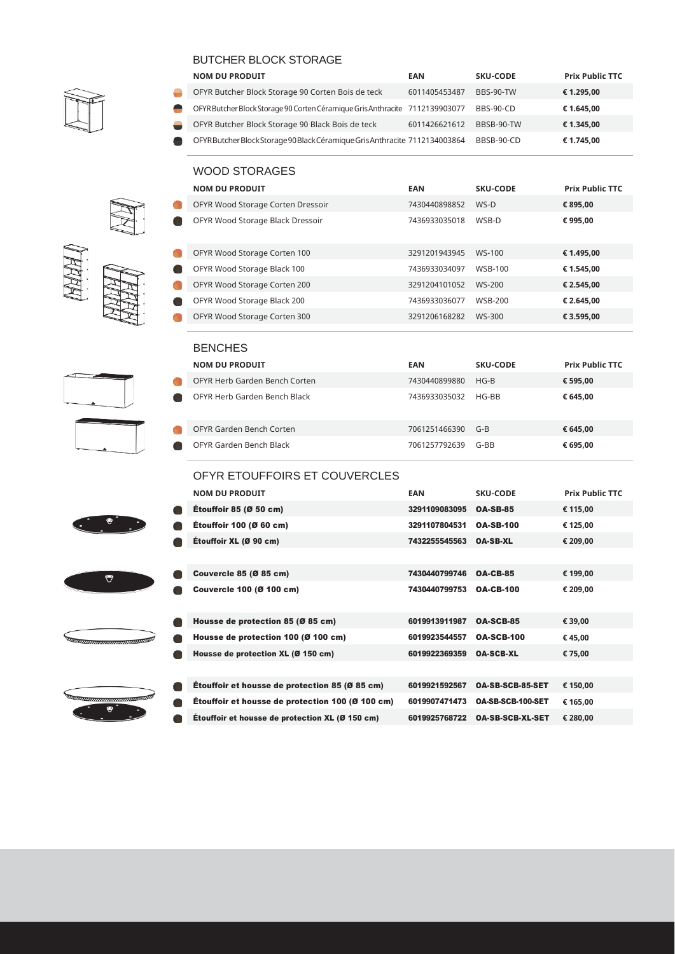

| <b>BUTCHER BLOCK STORAGE</b> |                                                                              |               |                  |                        |  |
|------------------------------|------------------------------------------------------------------------------|---------------|------------------|------------------------|--|
|                              | <b>NOM DU PRODUIT</b>                                                        | <b>EAN</b>    | <b>SKU-CODE</b>  | <b>Prix Public TTC</b> |  |
|                              | OFYR Butcher Block Storage 90 Corten Bois de teck                            | 6011405453487 | <b>BBS-90-TW</b> | € 1.295.00             |  |
|                              | OFYR Butcher Block Storage 90 Corten Céramique Gris Anthracite 7112139903077 |               | <b>BBS-90-CD</b> | € 1.645.00             |  |
|                              | OFYR Butcher Block Storage 90 Black Bois de teck                             | 6011426621612 | BBSB-90-TW       | € 1.345.00             |  |
|                              | OFYR Butcher Block Storage 90 Black Céramique Gris Anthracite 7112134003864  |               | BBSB-90-CD       | € 1.745.00             |  |

#### WOOD STORAGES

| <b>NOM DU PRODUIT</b>             | EAN           | <b>SKU-CODE</b> | <b>Prix Public TTC</b> |
|-----------------------------------|---------------|-----------------|------------------------|
| OFYR Wood Storage Corten Dressoir | 7430440898852 | $WS-D$          | € 895,00               |
| OFYR Wood Storage Black Dressoir  | 7436933035018 | WSB-D           | € 995.00               |
| OFYR Wood Storage Corten 100      | 3291201943945 | WS-100          | € 1.495.00             |
| OFYR Wood Storage Black 100       | 7436933034097 | <b>WSB-100</b>  | € 1.545,00             |
| OFYR Wood Storage Corten 200      | 3291204101052 | WS-200          | € 2.545.00             |
| OFYR Wood Storage Black 200       | 7436933036077 | <b>WSB-200</b>  | € 2.645.00             |
| OFYR Wood Storage Corten 300      | 3291206168282 | WS-300          | € 3.595,00             |

| <b>BENCHES</b>                |               |          |                        |
|-------------------------------|---------------|----------|------------------------|
| <b>NOM DU PRODUIT</b>         | EAN           | SKU-CODE | <b>Prix Public TTC</b> |
| OFYR Herb Garden Bench Corten | 7430440899880 | $HG-B$   | € 595.00               |
| OFYR Herb Garden Bench Black  | 7436933035032 | HG-BB    | € 645.00               |
| OFYR Garden Bench Corten      | 7061251466390 | $G-B$    | € 645,00               |
| OFYR Garden Bench Black       | 7061257792639 | $G-BR$   | € 695,00               |

#### OFYR ETOUFFOIRS ET COUVERCLES

| <b>NOM DU PRODUIT</b>                                   | <b>EAN</b>    | <b>SKU-CODE</b>         | <b>Prix Public TTC</b> |
|---------------------------------------------------------|---------------|-------------------------|------------------------|
| <b>Étouffoir 85 (Ø 50 cm)</b>                           | 3291109083095 | <b>OA-SB-85</b>         | € 115,00               |
| Étouffoir 100 (Ø 60 cm)                                 | 3291107804531 | <b>OA-SB-100</b>        | € 125,00               |
| Étouffoir XL (Ø 90 cm)                                  | 7432255545563 | <b>OA-SB-XL</b>         | € 209,00               |
|                                                         |               |                         |                        |
| <b>Couvercle 85 (Ø 85 cm)</b>                           | 7430440799746 | <b>OA-CB-85</b>         | € 199,00               |
| <b>Couvercle 100 (Ø 100 cm)</b>                         | 7430440799753 | <b>OA-CB-100</b>        | € 209,00               |
|                                                         |               |                         |                        |
| Housse de protection 85 (Ø 85 cm)                       | 6019913911987 | <b>OA-SCB-85</b>        | € 39,00                |
| Housse de protection 100 (Ø 100 cm)                     | 6019923544557 | <b>OA-SCB-100</b>       | €45,00                 |
| Housse de protection XL (Ø 150 cm)                      | 6019922369359 | <b>OA-SCB-XL</b>        | € 75,00                |
|                                                         |               |                         |                        |
| <b>Étouffoir et housse de protection 85 (Ø 85 cm)</b>   | 6019921592567 | <b>OA-SB-SCB-85-SET</b> | € 150,00               |
| <b>Étouffoir et housse de protection 100 (Ø 100 cm)</b> | 6019907471473 | OA-SB-SCB-100-SET       | € 165,00               |
| <b>Étouffoir et housse de protection XL (Ø 150 cm)</b>  | 6019925768722 | <b>OA-SB-SCB-XL-SET</b> | € 280,00               |











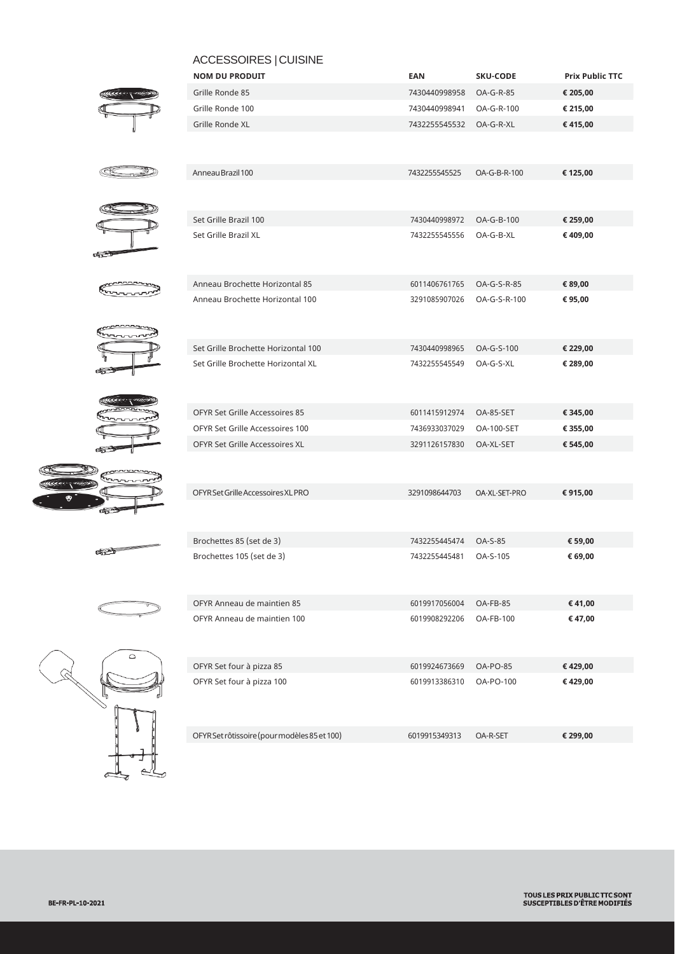|                       | ACCESSOIRES   CUISINE                        |               |                   |                        |
|-----------------------|----------------------------------------------|---------------|-------------------|------------------------|
|                       | <b>NOM DU PRODUIT</b>                        | EAN           | <b>SKU-CODE</b>   | <b>Prix Public TTC</b> |
|                       | Grille Ronde 85                              | 7430440998958 | OA-G-R-85         | € 205,00               |
|                       | Grille Ronde 100                             | 7430440998941 | OA-G-R-100        | € 215,00               |
|                       | Grille Ronde XL                              | 7432255545532 | OA-G-R-XL         | €415,00                |
|                       |                                              |               |                   |                        |
|                       | Anneau Brazil 100                            | 7432255545525 | OA-G-B-R-100      | € 125,00               |
|                       | Set Grille Brazil 100                        | 7430440998972 | OA-G-B-100        | € 259,00               |
|                       | Set Grille Brazil XL                         | 7432255545556 | OA-G-B-XL         | € 409,00               |
| $\sigma_{\rm C}$      |                                              |               |                   |                        |
|                       | Anneau Brochette Horizontal 85               | 6011406761765 | OA-G-S-R-85       | € 89,00                |
|                       | Anneau Brochette Horizontal 100              | 3291085907026 | OA-G-S-R-100      | € 95,00                |
|                       | Set Grille Brochette Horizontal 100          | 7430440998965 | OA-G-S-100        | € 229,00               |
| o gr                  | Set Grille Brochette Horizontal XL           | 7432255545549 | OA-G-S-XL         | € 289,00               |
|                       | OFYR Set Grille Accessoires 85               | 6011415912974 | OA-85-SET         | € 345,00               |
|                       | OFYR Set Grille Accessoires 100              | 7436933037029 | <b>OA-100-SET</b> | € 355,00               |
|                       | OFYR Set Grille Accessoires XL               | 3291126157830 | OA-XL-SET         | € 545,00               |
|                       |                                              |               |                   |                        |
| ೂನ್                   | OFYR Set Grille Accessoires XL PRO           | 3291098644703 | OA-XL-SET-PRO     | € 915,00               |
| $\sigma$ and $\sigma$ | Brochettes 85 (set de 3)                     | 7432255445474 | <b>OA-S-85</b>    | € 59,00                |
|                       | Brochettes 105 (set de 3)                    | 7432255445481 | OA-S-105          | € 69,00                |
|                       | OFYR Anneau de maintien 85                   | 6019917056004 | OA-FB-85          | €41,00                 |
| $\circ$               | OFYR Anneau de maintien 100                  | 6019908292206 | OA-FB-100         | €47,00                 |
|                       | OFYR Set four à pizza 85                     | 6019924673669 | <b>OA-PO-85</b>   | €429,00                |
|                       | OFYR Set four à pizza 100                    | 6019913386310 | OA-PO-100         | €429,00                |
|                       | OFYR Set rôtissoire (pour modèles 85 et 100) | 6019915349313 | OA-R-SET          | € 299,00               |
|                       |                                              |               |                   |                        |